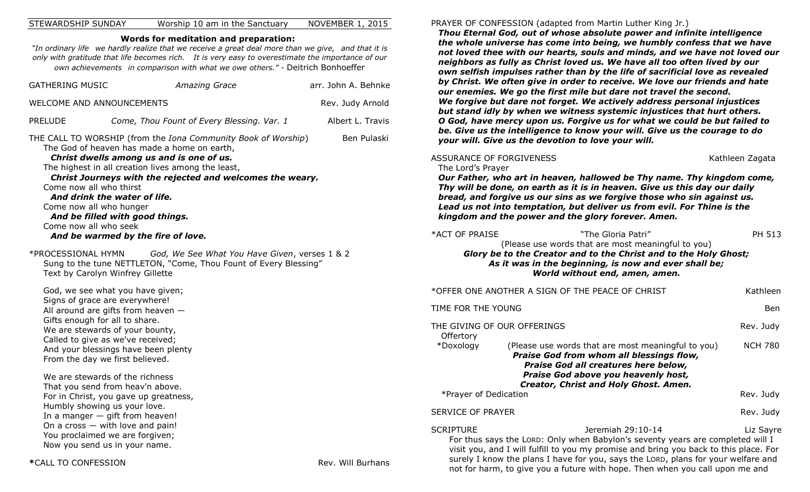### STEWARDSHIP SUNDAY Worship 10 am in the Sanctuary NOVEMBER 1, 2015

### **Words for meditation and preparation:**

*"In ordinary life we hardly realize that we receive a great deal more than we give, and that it is only with gratitude that life becomes rich. It is very easy to overestimate the importance of our own achievements in comparison with what we owe others." -* Deitrich Bonhoeffer

| <b>GATHERING MUSIC</b>                                                                                                              | <b>Amazing Grace</b>                                                                                                                                                                                                                                                                                                                                                                 | arr. John A. Behnke |
|-------------------------------------------------------------------------------------------------------------------------------------|--------------------------------------------------------------------------------------------------------------------------------------------------------------------------------------------------------------------------------------------------------------------------------------------------------------------------------------------------------------------------------------|---------------------|
| WELCOME AND ANNOUNCEMENTS                                                                                                           |                                                                                                                                                                                                                                                                                                                                                                                      | Rev. Judy Arnold    |
| <b>PRELUDE</b>                                                                                                                      | Come, Thou Fount of Every Blessing. Var. 1                                                                                                                                                                                                                                                                                                                                           | Albert L. Travis    |
| Come now all who thirst<br>Come now all who hunger<br>Come now all who seek                                                         | THE CALL TO WORSHIP (from the Iona Community Book of Worship)<br>The God of heaven has made a home on earth,<br>Christ dwells among us and is one of us.<br>The highest in all creation lives among the least,<br>Christ Journeys with the rejected and welcomes the weary.<br>And drink the water of life.<br>And be filled with good things.<br>And be warmed by the fire of love. | Ben Pulaski         |
| *PROCESSIONAL HYMN<br>Text by Carolyn Winfrey Gillette                                                                              | God, We See What You Have Given, verses 1 & 2<br>Sung to the tune NETTLETON, "Come, Thou Fount of Every Blessing"                                                                                                                                                                                                                                                                    |                     |
| Signs of grace are everywhere!<br>Gifts enough for all to share.<br>From the day we first believed.                                 | God, we see what you have given;<br>All around are gifts from heaven $-$<br>We are stewards of your bounty,<br>Called to give as we've received;<br>And your blessings have been plenty                                                                                                                                                                                              |                     |
| We are stewards of the richness<br>Humbly showing us your love.<br>You proclaimed we are forgiven;<br>Now you send us in your name. | That you send from heav'n above.<br>For in Christ, you gave up greatness,<br>In a manger $-$ gift from heaven!<br>On a cross $-$ with love and pain!                                                                                                                                                                                                                                 |                     |
| *CALL TO CONFESSION                                                                                                                 |                                                                                                                                                                                                                                                                                                                                                                                      | Rev. Will Burhans   |

#### PRAYER OF CONFESSION (adapted from Martin Luther King Jr.)

*Thou Eternal God, out of whose absolute power and infinite intelligence the whole universe has come into being, we humbly confess that we have not loved thee with our hearts, souls and minds, and we have not loved our neighbors as fully as Christ loved us. We have all too often lived by our own selfish impulses rather than by the life of sacrificial love as revealed by Christ. We often give in order to receive. We love our friends and hate our enemies. We go the first mile but dare not travel the second. We forgive but dare not forget. We actively address personal injustices but stand idly by when we witness systemic injustices that hurt others. O God, have mercy upon us. Forgive us for what we could be but failed to be. Give us the intelligence to know your will. Give us the courage to do your will. Give us the devotion to love your will.*

### ASSURANCE OF FORGIVENESS Kathleen Zagata

The Lord's Prayer

*Our Father, who art in heaven, hallowed be Thy name. Thy kingdom come, Thy will be done, on earth as it is in heaven. Give us this day our daily bread, and forgive us our sins as we forgive those who sin against us. Lead us not into temptation, but deliver us from evil. For Thine is the kingdom and the power and the glory forever. Amen.*

| *ACT OF PRAISE | "The Gloria Patri"                                               | PH 513 |
|----------------|------------------------------------------------------------------|--------|
|                | (Please use words that are most meaningful to you)               |        |
|                | Glory be to the Creator and to the Christ and to the Holy Ghost; |        |
|                | As it was in the beginning, is now and ever shall be;            |        |
|                | World without end, amen, amen.                                   |        |
|                |                                                                  |        |

| *OFFER ONE ANOTHER A SIGN OF THE PEACE OF CHRIST<br>Kathleen |                                                                                                                                                                                                                                                                                   |                |  |
|--------------------------------------------------------------|-----------------------------------------------------------------------------------------------------------------------------------------------------------------------------------------------------------------------------------------------------------------------------------|----------------|--|
| TIME FOR THE YOUNG<br>Ben                                    |                                                                                                                                                                                                                                                                                   |                |  |
| THE GIVING OF OUR OFFERINGS<br>Offertory                     |                                                                                                                                                                                                                                                                                   | Rev. Judy      |  |
| *Doxology                                                    | (Please use words that are most meaningful to you)<br>Praise God from whom all blessings flow,<br>Praise God all creatures here below,<br>Praise God above you heavenly host,<br>Creator, Christ and Holy Ghost. Amen.                                                            | <b>NCH 780</b> |  |
| *Prayer of Dedication                                        |                                                                                                                                                                                                                                                                                   | Rev. Judy      |  |
| <b>SERVICE OF PRAYER</b>                                     |                                                                                                                                                                                                                                                                                   | Rev. Judy      |  |
| <b>SCRIPTURE</b>                                             | Jeremiah 29:10-14<br>For thus says the LORD: Only when Babylon's seventy years are completed will I<br>visit you, and I will fulfill to you my promise and bring you back to this place. For<br>surely I know the plans I have for you, says the LORD, plans for your welfare and | Liz Sayre      |  |

not for harm, to give you a future with hope. Then when you call upon me and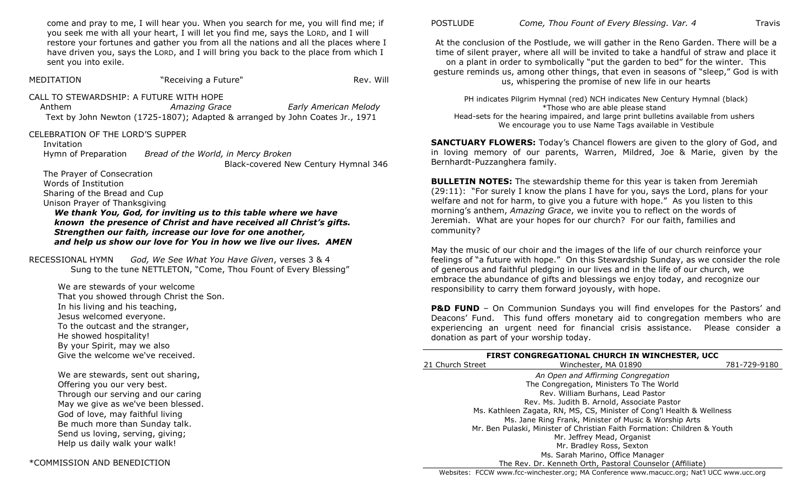come and pray to me, I will hear you. When you search for me, you will find me; if you seek me with all your heart, I will let you find me, says the LORD, and I will restore your fortunes and gather you from all the nations and all the places where I have driven you, says the LORD, and I will bring you back to the place from which I sent you into exile.

MEDITATION THE SECTION THE SECTION THE SECTION THE REV. WILL REV. WILL REV. WILL REV. REV. REV. REV. CALL TO STEWARDSHIP: A FUTURE WITH HOPE Anthem *Amazing Grace Early American Melody*  Text by John Newton (1725-1807); Adapted & arranged by John Coates Jr., 1971 CELEBRATION OF THE LORD'S SUPPER Invitation

Hymn of Preparation *Bread of the World, in Mercy Broken* Black-covered New Century Hymnal 346

The Prayer of Consecration Words of Institution Sharing of the Bread and Cup Unison Prayer of Thanksgiving

*We thank You, God, for inviting us to this table where we have known the presence of Christ and have received all Christ's gifts. Strengthen our faith, increase our love for one another, and help us show our love for You in how we live our lives. AMEN*

RECESSIONAL HYMN *God, We See What You Have Given*, verses 3 & 4 Sung to the tune NETTLETON, "Come, Thou Fount of Every Blessing"

We are stewards of your welcome That you showed through Christ the Son. In his living and his teaching, Jesus welcomed everyone. To the outcast and the stranger, He showed hospitality! By your Spirit, may we also Give the welcome we've received.

We are stewards, sent out sharing, Offering you our very best. Through our serving and our caring May we give as we've been blessed. God of love, may faithful living Be much more than Sunday talk. Send us loving, serving, giving; Help us daily walk your walk!

POSTLUDE *Come, Thou Fount of Every Blessing. Var. 4* **Travis** 

At the conclusion of the Postlude, we will gather in the Reno Garden. There will be a time of silent prayer, where all will be invited to take a handful of straw and place it on a plant in order to symbolically "put the garden to bed" for the winter. This gesture reminds us, among other things, that even in seasons of "sleep," God is with us, whispering the promise of new life in our hearts

PH indicates Pilgrim Hymnal (red) NCH indicates New Century Hymnal (black) \*Those who are able please stand Head-sets for the hearing impaired, and large print bulletins available from ushers We encourage you to use Name Tags available in Vestibule

**SANCTUARY FLOWERS:** Today's Chancel flowers are given to the glory of God, and in loving memory of our parents, Warren, Mildred, Joe & Marie, given by the Bernhardt-Puzzanghera family.

**BULLETIN NOTES:** The stewardship theme for this year is taken from Jeremiah  $(29:11)$ : "For surely I know the plans I have for you, says the Lord, plans for your welfare and not for harm, to give you a future with hope." As you listen to this morning's anthem, *Amazing Grace*, we invite you to reflect on the words of Jeremiah. What are your hopes for our church? For our faith, families and community?

May the music of our choir and the images of the life of our church reinforce your feelings of "a future with hope." On this Stewardship Sunday, as we consider the role of generous and faithful pledging in our lives and in the life of our church, we embrace the abundance of gifts and blessings we enjoy today, and recognize our responsibility to carry them forward joyously, with hope.

**P&D FUND** – On Communion Sundays you will find envelopes for the Pastors' and Deacons' Fund. This fund offers monetary aid to congregation members who are experiencing an urgent need for financial crisis assistance. Please consider a donation as part of your worship today.

| <b>FIRST CONGREGATIONAL CHURCH IN WINCHESTER, UCC</b> |                                                                          |              |  |
|-------------------------------------------------------|--------------------------------------------------------------------------|--------------|--|
| 21 Church Street                                      | Winchester, MA 01890                                                     | 781-729-9180 |  |
|                                                       | An Open and Affirming Congregation                                       |              |  |
|                                                       | The Congregation, Ministers To The World                                 |              |  |
|                                                       | Rev. William Burhans, Lead Pastor                                        |              |  |
|                                                       | Rev. Ms. Judith B. Arnold, Associate Pastor                              |              |  |
|                                                       | Ms. Kathleen Zagata, RN, MS, CS, Minister of Cong'l Health & Wellness    |              |  |
|                                                       | Ms. Jane Ring Frank, Minister of Music & Worship Arts                    |              |  |
|                                                       | Mr. Ben Pulaski, Minister of Christian Faith Formation: Children & Youth |              |  |
|                                                       | Mr. Jeffrey Mead, Organist                                               |              |  |
|                                                       | Mr. Bradley Ross, Sexton                                                 |              |  |
|                                                       | Ms. Sarah Marino, Office Manager                                         |              |  |
|                                                       | The Rev. Dr. Kenneth Orth, Pastoral Counselor (Affiliate)                |              |  |

Websites: FCCW www.fcc-winchester.org; MA Conference www.macucc.org; Nat'l UCC www.ucc.org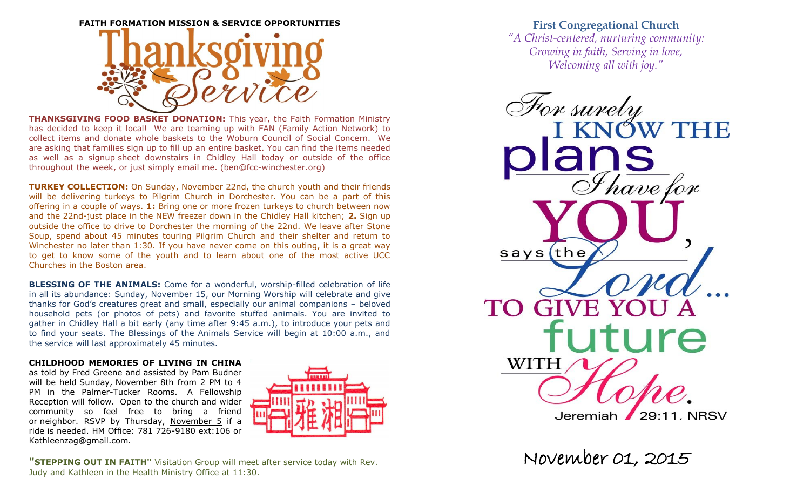

**THANKSGIVING FOOD BASKET DONATION:** This year, the Faith Formation Ministry has decided to keep it local! We are teaming up with FAN (Family Action Network) to collect items and donate whole baskets to the Woburn Council of Social Concern. We are asking that families sign up to fill up an entire basket. You can find the items needed as well as a signup sheet downstairs in Chidley Hall today or outside of the office throughout the week, or just simply email me. (ben@fcc-winchester.org)

**TURKEY COLLECTION:** On Sunday, November 22nd, the church youth and their friends will be delivering turkeys to Pilgrim Church in Dorchester. You can be a part of this offering in a couple of ways. **1:** Bring one or more frozen turkeys to church between now and the 22nd-just place in the NEW freezer down in the Chidley Hall kitchen; **2.** Sign up outside the office to drive to Dorchester the morning of the 22nd. We leave after Stone Soup, spend about 45 minutes touring Pilgrim Church and their shelter and return to Winchester no later than 1:30. If you have never come on this outing, it is a great way to get to know some of the youth and to learn about one of the most active UCC Churches in the Boston area.

**BLESSING OF THE ANIMALS:** Come for a wonderful, worship-filled celebration of life in all its abundance: Sunday, November 15, our Morning Worship will celebrate and give thanks for God's creatures great and small, especially our animal companions – beloved household pets (or photos of pets) and favorite stuffed animals. You are invited to gather in Chidley Hall a bit early (any time after 9:45 a.m.), to introduce your pets and to find your seats. The Blessings of the Animals Service will begin at 10:00 a.m., and the service will last approximately 45 minutes.

### **CHILDHOOD MEMORIES OF LIVING IN CHINA**

as told by Fred Greene and assisted by Pam Budner will be held Sunday, November 8th from 2 PM to 4 PM in the Palmer-Tucker Rooms. A Fellowship Reception will follow. Open to the church and wider community so feel free to bring a friend or neighbor. RSVP by Thursday, November 5 if a ride is needed. HM Office: 781 726-9180 ext:106 or Kathleenzag@gmail.com.



**"STEPPING OUT IN FAITH"** Visitation Group will meet after service today with Rev. Judy and Kathleen in the Health Ministry Office at 11:30.

# **First Congregational Church**

*"A Christ-centered, nurturing community: Growing in faith, Serving in love, Welcoming all with joy."*

For surely<br>I KNOW THE  $\frac{\partial \mathbf{h}}{\partial \theta}$  have for  $says$ (the **GIVE YOU** TO.  $\mathbf{A}$ uture WITH Jeremiah 29:11, NRSV

November 01, 2015